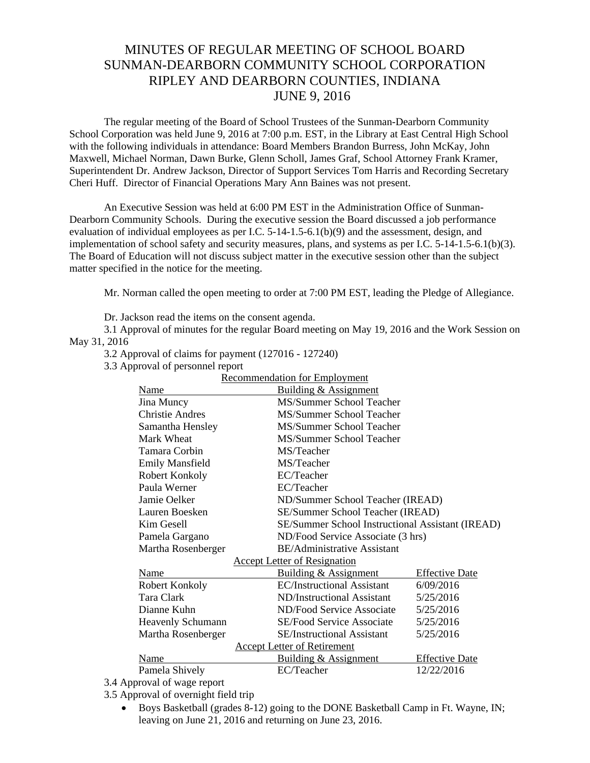## MINUTES OF REGULAR MEETING OF SCHOOL BOARD SUNMAN-DEARBORN COMMUNITY SCHOOL CORPORATION RIPLEY AND DEARBORN COUNTIES, INDIANA JUNE 9, 2016

The regular meeting of the Board of School Trustees of the Sunman-Dearborn Community School Corporation was held June 9, 2016 at 7:00 p.m. EST, in the Library at East Central High School with the following individuals in attendance: Board Members Brandon Burress, John McKay, John Maxwell, Michael Norman, Dawn Burke, Glenn Scholl, James Graf, School Attorney Frank Kramer, Superintendent Dr. Andrew Jackson, Director of Support Services Tom Harris and Recording Secretary Cheri Huff. Director of Financial Operations Mary Ann Baines was not present.

 An Executive Session was held at 6:00 PM EST in the Administration Office of Sunman-Dearborn Community Schools. During the executive session the Board discussed a job performance evaluation of individual employees as per I.C. 5-14-1.5-6.1(b)(9) and the assessment, design, and implementation of school safety and security measures, plans, and systems as per I.C. 5-14-1.5-6.1(b)(3). The Board of Education will not discuss subject matter in the executive session other than the subject matter specified in the notice for the meeting.

Mr. Norman called the open meeting to order at 7:00 PM EST, leading the Pledge of Allegiance.

Dr. Jackson read the items on the consent agenda.

3.1 Approval of minutes for the regular Board meeting on May 19, 2016 and the Work Session on May 31, 2016

3.2 Approval of claims for payment (127016 - 127240)

3.3 Approval of personnel report

| Recommendation for Employment |                                     |  |                                                  |                       |
|-------------------------------|-------------------------------------|--|--------------------------------------------------|-----------------------|
|                               | Name                                |  | Building & Assignment                            |                       |
|                               | Jina Muncy                          |  | MS/Summer School Teacher                         |                       |
|                               | <b>Christie Andres</b>              |  | MS/Summer School Teacher                         |                       |
|                               | Samantha Hensley                    |  | MS/Summer School Teacher                         |                       |
|                               | Mark Wheat                          |  | MS/Summer School Teacher                         |                       |
|                               | Tamara Corbin                       |  | MS/Teacher                                       |                       |
|                               | <b>Emily Mansfield</b>              |  | MS/Teacher                                       |                       |
|                               | Robert Konkoly                      |  | EC/Teacher                                       |                       |
|                               | Paula Werner                        |  | EC/Teacher                                       |                       |
|                               | Jamie Oelker                        |  | ND/Summer School Teacher (IREAD)                 |                       |
|                               | Lauren Boesken                      |  | SE/Summer School Teacher (IREAD)                 |                       |
|                               | Kim Gesell                          |  | SE/Summer School Instructional Assistant (IREAD) |                       |
|                               | Pamela Gargano                      |  | ND/Food Service Associate (3 hrs)                |                       |
|                               | Martha Rosenberger                  |  | <b>BE/Administrative Assistant</b>               |                       |
|                               | <b>Accept Letter of Resignation</b> |  |                                                  |                       |
|                               | Name                                |  | Building & Assignment                            | <b>Effective Date</b> |
|                               | Robert Konkoly                      |  | <b>EC/Instructional Assistant</b>                | 6/09/2016             |
|                               | Tara Clark                          |  | ND/Instructional Assistant                       | 5/25/2016             |
|                               | Dianne Kuhn                         |  | ND/Food Service Associate                        | 5/25/2016             |
|                               | <b>Heavenly Schumann</b>            |  | <b>SE/Food Service Associate</b>                 | 5/25/2016             |
|                               | Martha Rosenberger                  |  | <b>SE/Instructional Assistant</b>                | 5/25/2016             |
|                               | <b>Accept Letter of Retirement</b>  |  |                                                  |                       |
|                               | Name                                |  | Building & Assignment                            | <b>Effective Date</b> |
|                               | Pamela Shively                      |  | EC/Teacher                                       | 12/22/2016            |
|                               |                                     |  |                                                  |                       |

Recommendation for Employment

3.4 Approval of wage report

3.5 Approval of overnight field trip

 Boys Basketball (grades 8-12) going to the DONE Basketball Camp in Ft. Wayne, IN; leaving on June 21, 2016 and returning on June 23, 2016.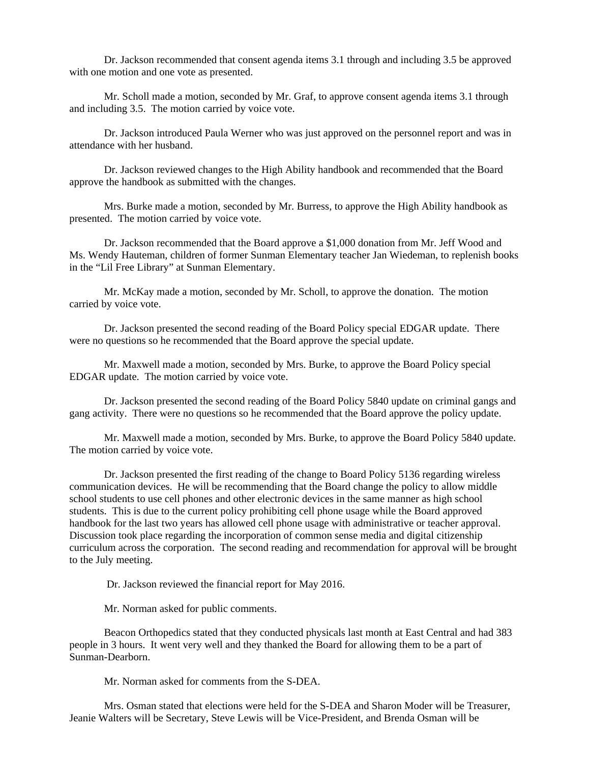Dr. Jackson recommended that consent agenda items 3.1 through and including 3.5 be approved with one motion and one vote as presented.

 Mr. Scholl made a motion, seconded by Mr. Graf, to approve consent agenda items 3.1 through and including 3.5. The motion carried by voice vote.

 Dr. Jackson introduced Paula Werner who was just approved on the personnel report and was in attendance with her husband.

Dr. Jackson reviewed changes to the High Ability handbook and recommended that the Board approve the handbook as submitted with the changes.

 Mrs. Burke made a motion, seconded by Mr. Burress, to approve the High Ability handbook as presented. The motion carried by voice vote.

 Dr. Jackson recommended that the Board approve a \$1,000 donation from Mr. Jeff Wood and Ms. Wendy Hauteman, children of former Sunman Elementary teacher Jan Wiedeman, to replenish books in the "Lil Free Library" at Sunman Elementary.

 Mr. McKay made a motion, seconded by Mr. Scholl, to approve the donation. The motion carried by voice vote.

 Dr. Jackson presented the second reading of the Board Policy special EDGAR update. There were no questions so he recommended that the Board approve the special update.

Mr. Maxwell made a motion, seconded by Mrs. Burke, to approve the Board Policy special EDGAR update. The motion carried by voice vote.

Dr. Jackson presented the second reading of the Board Policy 5840 update on criminal gangs and gang activity. There were no questions so he recommended that the Board approve the policy update.

 Mr. Maxwell made a motion, seconded by Mrs. Burke, to approve the Board Policy 5840 update. The motion carried by voice vote.

 Dr. Jackson presented the first reading of the change to Board Policy 5136 regarding wireless communication devices. He will be recommending that the Board change the policy to allow middle school students to use cell phones and other electronic devices in the same manner as high school students. This is due to the current policy prohibiting cell phone usage while the Board approved handbook for the last two years has allowed cell phone usage with administrative or teacher approval. Discussion took place regarding the incorporation of common sense media and digital citizenship curriculum across the corporation. The second reading and recommendation for approval will be brought to the July meeting.

Dr. Jackson reviewed the financial report for May 2016.

Mr. Norman asked for public comments.

 Beacon Orthopedics stated that they conducted physicals last month at East Central and had 383 people in 3 hours. It went very well and they thanked the Board for allowing them to be a part of Sunman-Dearborn.

Mr. Norman asked for comments from the S-DEA.

 Mrs. Osman stated that elections were held for the S-DEA and Sharon Moder will be Treasurer, Jeanie Walters will be Secretary, Steve Lewis will be Vice-President, and Brenda Osman will be